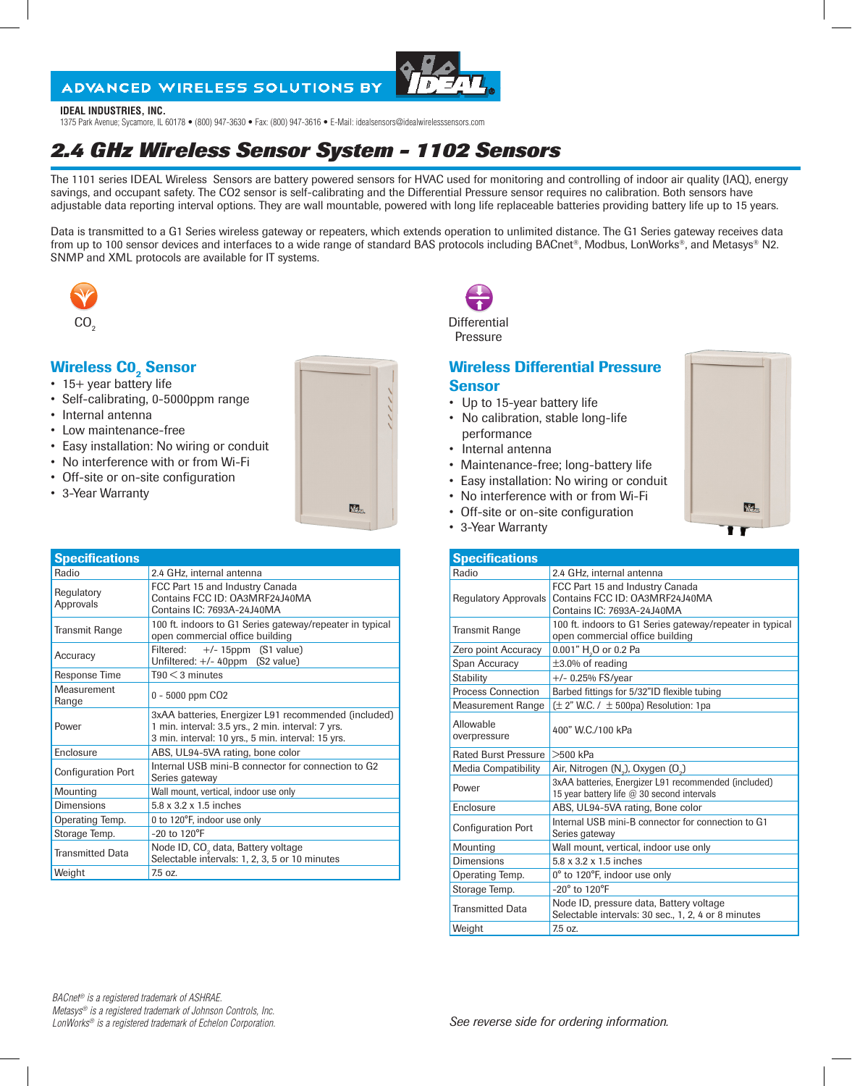#### **ADVANCED WIRELESS SOLUTIONS BY**



#### **IDEAL INDUSTRIES, INC.**

1375 Park Avenue; Sycamore, IL 60178 • (800) 947-3630 • Fax: (800) 947-3616 • E-Mail: idealsensors@idealwirelesssensors.com

## *2.4 GHz Wireless Sensor System - 1102 Sensors*

The 1101 series IDEAL Wireless Sensors are battery powered sensors for HVAC used for monitoring and controlling of indoor air quality (IAQ), energy savings, and occupant safety. The CO2 sensor is self-calibrating and the Differential Pressure sensor requires no calibration. Both sensors have adjustable data reporting interval options. They are wall mountable, powered with long life replaceable batteries providing battery life up to 15 years.

Data is transmitted to a G1 Series wireless gateway or repeaters, which extends operation to unlimited distance. The G1 Series gateway receives data from up to 100 sensor devices and interfaces to a wide range of standard BAS protocols including BACnet®, Modbus, LonWorks®, and Metasys® N2. SNMP and XML protocols are available for IT systems.



# **Wireless CO<sub>2</sub> Sensor** • 15+ year battery life

- 
- Self-calibrating, 0-5000ppm range
- Internal antenna
- Low maintenance-free
- Easy installation: No wiring or conduit
- No interference with or from Wi-Fi
- Off-site or on-site configuration
- 3-Year Warranty



| <b>Specifications</b>     |                                                                                                                                                                  |  |  |
|---------------------------|------------------------------------------------------------------------------------------------------------------------------------------------------------------|--|--|
| Radio                     | 2.4 GHz, internal antenna                                                                                                                                        |  |  |
| Regulatory<br>Approvals   | FCC Part 15 and Industry Canada<br>Contains FCC ID: OA3MRF24J40MA<br>Contains IC: 7693A-24J40MA                                                                  |  |  |
| <b>Transmit Range</b>     | 100 ft. indoors to G1 Series gateway/repeater in typical<br>open commercial office building                                                                      |  |  |
| Accuracy                  | $+/- 15$ ppm (S1 value)<br>Filtered:<br>Unfiltered: $+/- 40$ ppm (S2 value)                                                                                      |  |  |
| Response Time             | $T90 < 3$ minutes                                                                                                                                                |  |  |
| Measurement<br>Range      | 0 - 5000 ppm CO <sub>2</sub>                                                                                                                                     |  |  |
| Power                     | 3xAA batteries, Energizer L91 recommended (included)<br>1 min. interval: 3.5 yrs., 2 min. interval: 7 yrs.<br>3 min. interval: 10 yrs., 5 min. interval: 15 yrs. |  |  |
| Enclosure                 | ABS, UL94-5VA rating, bone color                                                                                                                                 |  |  |
| <b>Configuration Port</b> | Internal USB mini-B connector for connection to G2<br>Series gateway                                                                                             |  |  |
| Mounting                  | Wall mount, vertical, indoor use only                                                                                                                            |  |  |
| <b>Dimensions</b>         | 5.8 x 3.2 x 1.5 inches                                                                                                                                           |  |  |
| Operating Temp.           | 0 to 120°F, indoor use only                                                                                                                                      |  |  |
| Storage Temp.             | $-20$ to $120^{\circ}F$                                                                                                                                          |  |  |
| <b>Transmitted Data</b>   | Node ID, CO <sub>2</sub> data, Battery voltage<br>Selectable intervals: 1, 2, 3, 5 or 10 minutes                                                                 |  |  |
| Weight                    | 7.5 oz.                                                                                                                                                          |  |  |



 $\text{CO}_2$  Differential Pressure

#### Wireless Differential Pressure **Sensor**

- Up to 15-year battery life
- No calibration, stable long-life performance
- Internal antenna
- Maintenance-free; long-battery life
- Easy installation: No wiring or conduit
- No interference with or from Wi-Fi
- Off-site or on-site configuration
- 3-Year Warranty

| <b>Specifications</b>       |                                                                                                    |  |  |  |  |
|-----------------------------|----------------------------------------------------------------------------------------------------|--|--|--|--|
| Radio                       | 2.4 GHz, internal antenna                                                                          |  |  |  |  |
| <b>Regulatory Approvals</b> | FCC Part 15 and Industry Canada<br>Contains FCC ID: 0A3MRF24 J40MA<br>Contains IC: 7693A-24J40MA   |  |  |  |  |
| <b>Transmit Range</b>       | 100 ft. indoors to G1 Series gateway/repeater in typical<br>open commercial office building        |  |  |  |  |
| Zero point Accuracy         | 0.001" H <sub>2</sub> O or 0.2 Pa                                                                  |  |  |  |  |
| Span Accuracy               | $\pm 3.0\%$ of reading                                                                             |  |  |  |  |
| Stability                   | $+/- 0.25%$ FS/year                                                                                |  |  |  |  |
| <b>Process Connection</b>   | Barbed fittings for 5/32"ID flexible tubing                                                        |  |  |  |  |
| <b>Measurement Range</b>    | $(\pm 2$ " W.C. / $\pm 500$ pa) Resolution: 1pa                                                    |  |  |  |  |
| Allowable<br>overpressure   | 400" W.C. /100 kPa                                                                                 |  |  |  |  |
| <b>Rated Burst Pressure</b> | $>500$ kPa                                                                                         |  |  |  |  |
| <b>Media Compatibility</b>  | Air, Nitrogen (N <sub>2</sub> ), Oxygen (O <sub>2</sub> )                                          |  |  |  |  |
| Power                       | 3xAA batteries, Energizer L91 recommended (included)<br>15 year battery life @ 30 second intervals |  |  |  |  |
| Enclosure                   | ABS, UL94-5VA rating, Bone color                                                                   |  |  |  |  |
| <b>Configuration Port</b>   | Internal USB mini-B connector for connection to G1<br>Series gateway                               |  |  |  |  |
| Mounting                    | Wall mount, vertical, indoor use only                                                              |  |  |  |  |
| <b>Dimensions</b>           | 5.8 x 3.2 x 1.5 inches                                                                             |  |  |  |  |
| Operating Temp.             | 0° to 120°F, indoor use only                                                                       |  |  |  |  |
| Storage Temp.               | $-20^\circ$ to 120 $\degree$ F                                                                     |  |  |  |  |
| <b>Transmitted Data</b>     | Node ID, pressure data, Battery voltage<br>Selectable intervals: 30 sec., 1, 2, 4 or 8 minutes     |  |  |  |  |
| Weight                      | 750z                                                                                               |  |  |  |  |